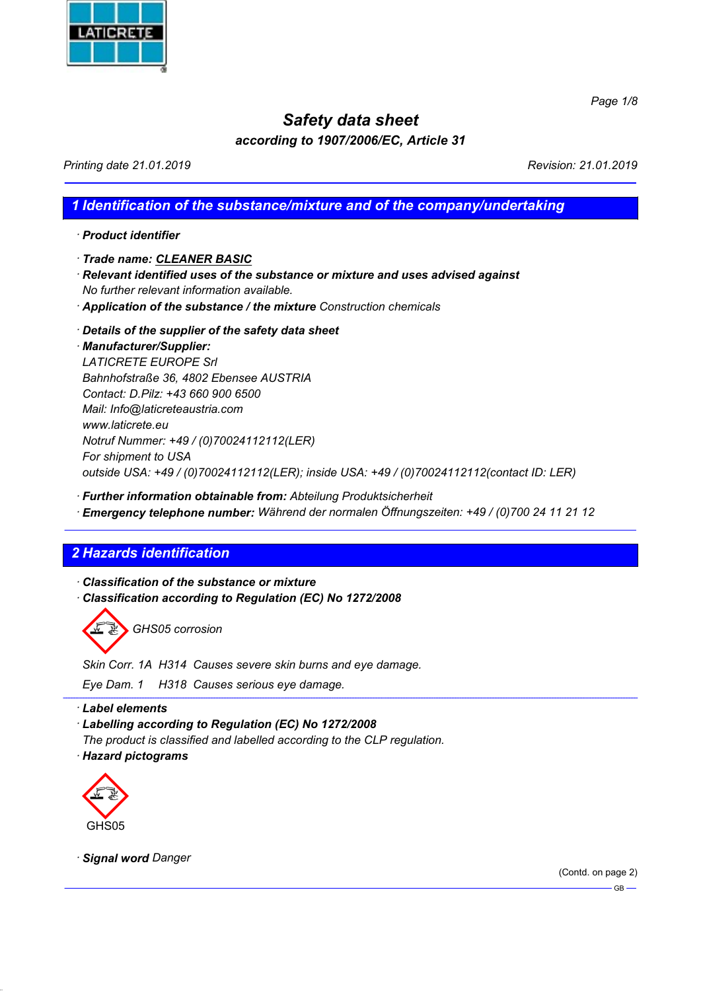

Page  $1/8$ 

# Safety data sheet

# according to 1907/2006/EC, Article 31

Printing date 21.01.2019 **Printing date 21.01.2019** 

## 1 Identification of the substance/mixture and of the company/undertaking

· Product identifier

· Trade name: CLEANER BASIC

- · Relevant identified uses of the substance or mixture and uses advised against No further relevant information available.
- · Application of the substance / the mixture Construction chemicals
- · Details of the supplier of the safety data sheet

· Manufacturer/Supplier: LATICRETE EUROPE Srl Bahnhofstraße 36, 4802 Ebensee AUSTRIA Contact: D.Pilz: +43 660 900 6500 Mail: Info@laticreteaustria.com www.laticrete.eu Notruf Nummer: +49 / (0)70024112112(LER) For shipment to USA outside USA: +49 / (0)70024112112(LER); inside USA: +49 / (0)70024112112(contact ID: LER)

- · Further information obtainable from: Abteilung Produktsicherheit
- · Emergency telephone number: Während der normalen Öffnungszeiten: +49 / (0)700 24 11 21 12

# 2 Hazards identification

· Classification of the substance or mixture · Classification according to Regulation (EC) No 1272/2008

GHS05 corrosion

Skin Corr. 1A H314 Causes severe skin burns and eye damage.

Eye Dam. 1 H318 Causes serious eye damage.

· Label elements

· Labelling according to Regulation (EC) No 1272/2008

The product is classified and labelled according to the CLP regulation. · Hazard pictograms



· Signal word Danger

(Contd. on page 2)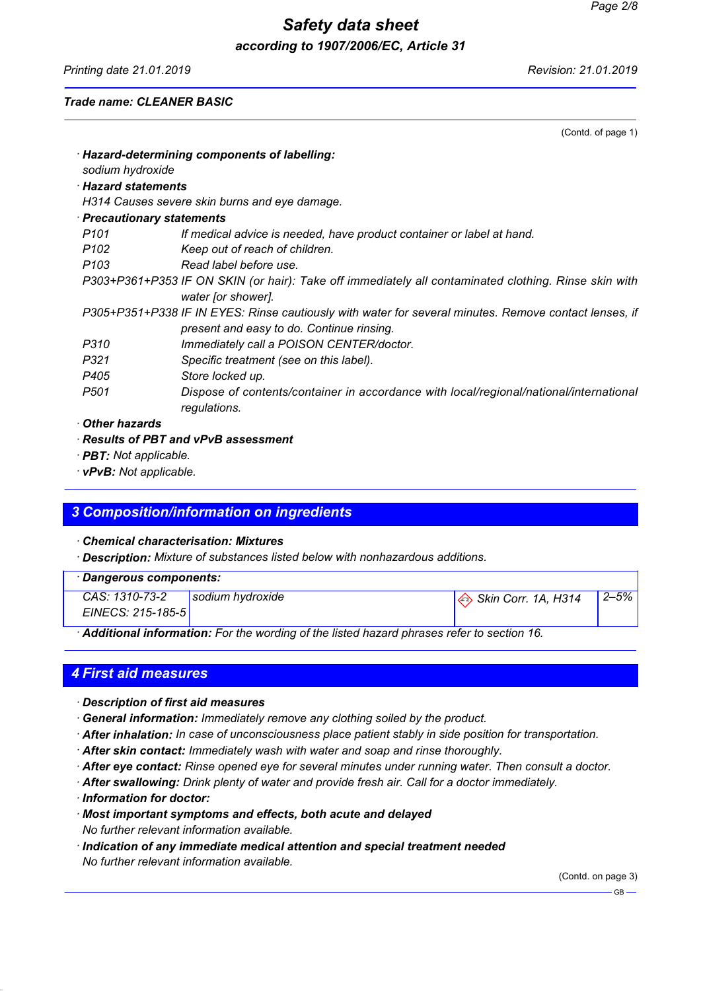Printing date 21.01.2019 Revision: 21.01.2019

(Contd. of page 1)

#### Trade name: CLEANER BASIC

|                                                                                                      | Hazard-determining components of labelling:                                                           |  |  |
|------------------------------------------------------------------------------------------------------|-------------------------------------------------------------------------------------------------------|--|--|
| sodium hydroxide                                                                                     |                                                                                                       |  |  |
| $\cdot$ Hazard statements                                                                            |                                                                                                       |  |  |
|                                                                                                      | H314 Causes severe skin burns and eye damage.                                                         |  |  |
| <b>Precautionary statements</b>                                                                      |                                                                                                       |  |  |
| P <sub>101</sub>                                                                                     | If medical advice is needed, have product container or label at hand.                                 |  |  |
| P <sub>102</sub>                                                                                     | Keep out of reach of children.                                                                        |  |  |
| P <sub>103</sub>                                                                                     | Read label before use.                                                                                |  |  |
| P303+P361+P353 IF ON SKIN (or hair): Take off immediately all contaminated clothing. Rinse skin with |                                                                                                       |  |  |
|                                                                                                      | water for shower].                                                                                    |  |  |
|                                                                                                      | P305+P351+P338 IF IN EYES: Rinse cautiously with water for several minutes. Remove contact lenses, if |  |  |
|                                                                                                      | present and easy to do. Continue rinsing.                                                             |  |  |
| P310                                                                                                 | Immediately call a POISON CENTER/doctor.                                                              |  |  |
| P321                                                                                                 | Specific treatment (see on this label).                                                               |  |  |
| P405                                                                                                 | Store locked up.                                                                                      |  |  |
| P <sub>501</sub>                                                                                     | Dispose of contents/container in accordance with local/regional/national/international                |  |  |
|                                                                                                      | regulations.                                                                                          |  |  |
| <b>Other hazards</b>                                                                                 |                                                                                                       |  |  |
|                                                                                                      | $\cdot$ Results of PBT and vPvB assessment                                                            |  |  |
| · <b>PBT:</b> Not applicable.                                                                        |                                                                                                       |  |  |

· vPvB: Not applicable.

# 3 Composition/information on ingredients

#### · Chemical characterisation: Mixtures

· Description: Mixture of substances listed below with nonhazardous additions.

| CAS: 1310-73-2<br>sodium hydroxide<br>$\Leftrightarrow$ Skin Corr. 1A, H314<br>EINECS: 215-185-5 | Dangerous components: |  |  |  |  |  |      |
|--------------------------------------------------------------------------------------------------|-----------------------|--|--|--|--|--|------|
|                                                                                                  |                       |  |  |  |  |  | 2–5% |
|                                                                                                  |                       |  |  |  |  |  |      |

· Additional information: For the wording of the listed hazard phrases refer to section 16.

## 4 First aid measures

- · Description of first aid measures
- · General information: Immediately remove any clothing soiled by the product.
- · After inhalation: In case of unconsciousness place patient stably in side position for transportation.
- · After skin contact: Immediately wash with water and soap and rinse thoroughly.
- · After eye contact: Rinse opened eye for several minutes under running water. Then consult a doctor.
- · After swallowing: Drink plenty of water and provide fresh air. Call for a doctor immediately.
- · Information for doctor:
- · Most important symptoms and effects, both acute and delayed No further relevant information available.
- · Indication of any immediate medical attention and special treatment needed No further relevant information available.

(Contd. on page 3)

 $-$  GB  $-$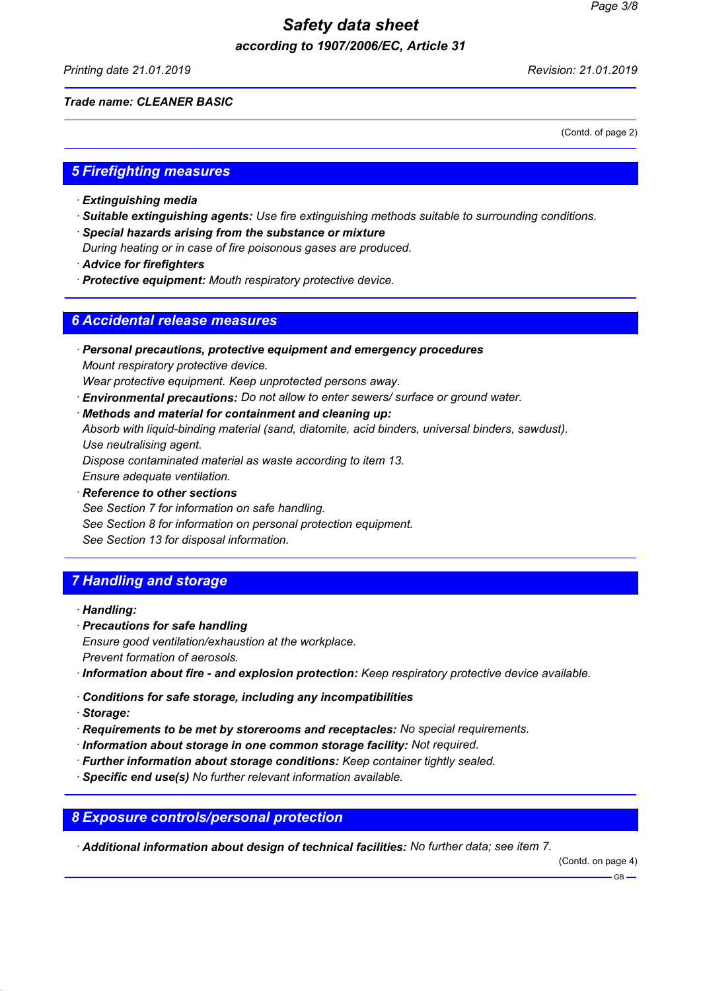Printing date 21.01.2019 Revision: 21.01.2019

#### Trade name: CLEANER BASIC

(Contd. of page 2)

### 5 Firefighting measures

- · Extinguishing media
- · Suitable extinguishing agents: Use fire extinguishing methods suitable to surrounding conditions.
- · Special hazards arising from the substance or mixture
- During heating or in case of fire poisonous gases are produced.
- · Advice for firefighters
- · Protective equipment: Mouth respiratory protective device.

### 6 Accidental release measures

- · Personal precautions, protective equipment and emergency procedures Mount respiratory protective device.
- Wear protective equipment. Keep unprotected persons away.
- · Environmental precautions: Do not allow to enter sewers/ surface or ground water.
- · Methods and material for containment and cleaning up:

Absorb with liquid-binding material (sand, diatomite, acid binders, universal binders, sawdust). Use neutralising agent.

Dispose contaminated material as waste according to item 13.

Ensure adequate ventilation.

- · Reference to other sections
- See Section 7 for information on safe handling.
- See Section 8 for information on personal protection equipment.

See Section 13 for disposal information.

# 7 Handling and storage

- · Handling:
- · Precautions for safe handling

Ensure good ventilation/exhaustion at the workplace. Prevent formation of aerosols.

- · Information about fire and explosion protection: Keep respiratory protective device available.
- · Conditions for safe storage, including any incompatibilities
- · Storage:
- · Requirements to be met by storerooms and receptacles: No special requirements.
- · Information about storage in one common storage facility: Not required.
- · Further information about storage conditions: Keep container tightly sealed.
- · Specific end use(s) No further relevant information available.

## 8 Exposure controls/personal protection

· Additional information about design of technical facilities: No further data; see item 7.

(Contd. on page 4)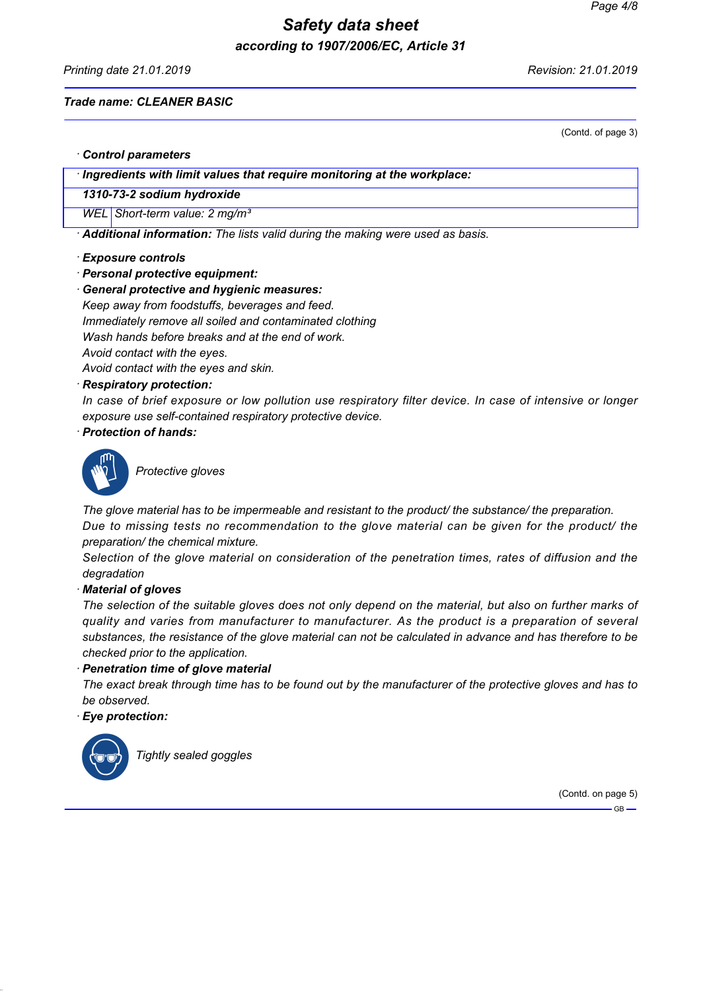Printing date 21.01.2019 Revision: 21.01.2019

(Contd. of page 3)

#### Trade name: CLEANER BASIC

· Control parameters

· Ingredients with limit values that require monitoring at the workplace:

1310-73-2 sodium hydroxide

WEL Short-term value: 2 mg/m<sup>3</sup>

· Additional information: The lists valid during the making were used as basis.

#### · Exposure controls

- · Personal protective equipment:
- · General protective and hygienic measures:

Keep away from foodstuffs, beverages and feed. Immediately remove all soiled and contaminated clothing

Wash hands before breaks and at the end of work.

Avoid contact with the eyes.

Avoid contact with the eyes and skin.

#### · Respiratory protection:

In case of brief exposure or low pollution use respiratory filter device. In case of intensive or longer exposure use self-contained respiratory protective device.

#### · Protection of hands:



Protective gloves

The glove material has to be impermeable and resistant to the product/ the substance/ the preparation. Due to missing tests no recommendation to the glove material can be given for the product/ the preparation/ the chemical mixture.

Selection of the glove material on consideration of the penetration times, rates of diffusion and the degradation

· Material of gloves

The selection of the suitable gloves does not only depend on the material, but also on further marks of quality and varies from manufacturer to manufacturer. As the product is a preparation of several substances, the resistance of the glove material can not be calculated in advance and has therefore to be checked prior to the application.

#### · Penetration time of glove material

The exact break through time has to be found out by the manufacturer of the protective gloves and has to be observed.

Eye protection:



Tightly sealed goggles

(Contd. on page 5)

 $-$  GB  $-$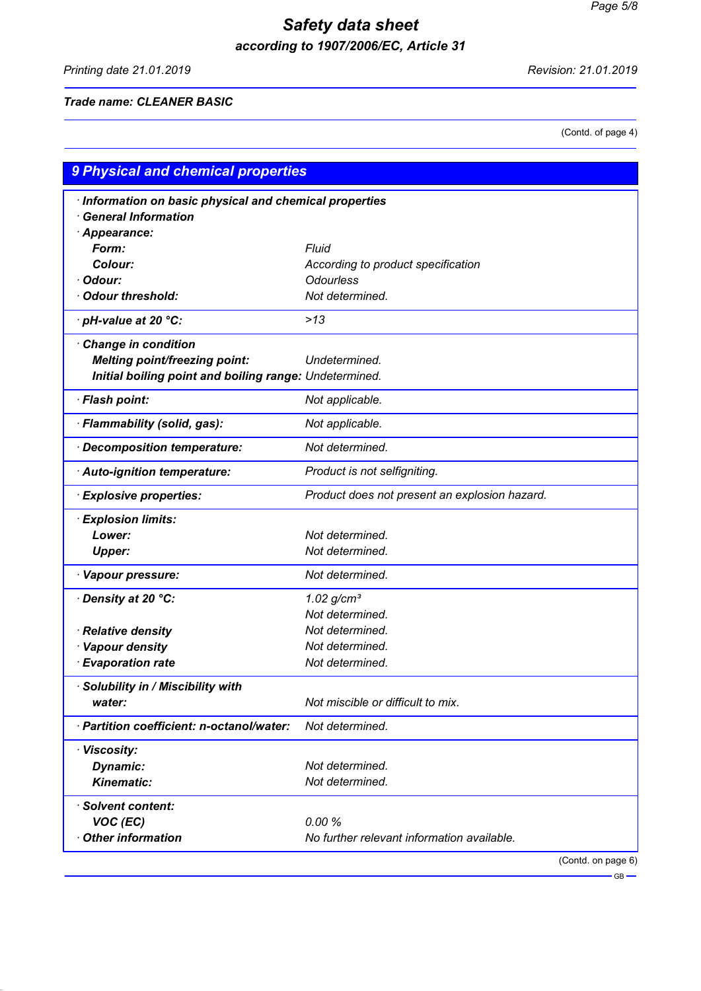Printing date 21.01.2019 Revision: 21.01.2019

### Trade name: CLEANER BASIC

(Contd. of page 4)

| 9 Physical and chemical properties                     |                                               |  |  |  |  |
|--------------------------------------------------------|-----------------------------------------------|--|--|--|--|
| Information on basic physical and chemical properties  |                                               |  |  |  |  |
| <b>General Information</b>                             |                                               |  |  |  |  |
| Appearance:                                            |                                               |  |  |  |  |
| Form:                                                  | <b>Fluid</b>                                  |  |  |  |  |
| Colour:                                                | According to product specification            |  |  |  |  |
| Odour:                                                 | <b>Odourless</b>                              |  |  |  |  |
| <b>Odour threshold:</b>                                | Not determined.                               |  |  |  |  |
| · pH-value at 20 °C:                                   | $>13$                                         |  |  |  |  |
| Change in condition                                    |                                               |  |  |  |  |
| <b>Melting point/freezing point:</b>                   | Undetermined.                                 |  |  |  |  |
| Initial boiling point and boiling range: Undetermined. |                                               |  |  |  |  |
| · Flash point:                                         | Not applicable.                               |  |  |  |  |
| · Flammability (solid, gas):                           | Not applicable.                               |  |  |  |  |
| Decomposition temperature:                             | Not determined.                               |  |  |  |  |
| · Auto-ignition temperature:                           | Product is not selfigniting.                  |  |  |  |  |
| <b>Explosive properties:</b>                           | Product does not present an explosion hazard. |  |  |  |  |
| <b>Explosion limits:</b>                               |                                               |  |  |  |  |
| Lower:                                                 | Not determined.                               |  |  |  |  |
| <b>Upper:</b>                                          | Not determined.                               |  |  |  |  |
| · Vapour pressure:                                     | Not determined.                               |  |  |  |  |
| Density at 20 °C:                                      | $1.02$ g/cm <sup>3</sup>                      |  |  |  |  |
|                                                        | Not determined.                               |  |  |  |  |
| · Relative density                                     | Not determined.                               |  |  |  |  |
| · Vapour density                                       | Not determined.                               |  |  |  |  |
| · Evaporation rate                                     | Not determined.                               |  |  |  |  |
| · Solubility in / Miscibility with                     |                                               |  |  |  |  |
| water:                                                 | Not miscible or difficult to mix.             |  |  |  |  |
| · Partition coefficient: n-octanol/water:              | Not determined.                               |  |  |  |  |
| · Viscosity:                                           |                                               |  |  |  |  |
| Dynamic:                                               | Not determined.                               |  |  |  |  |
| Kinematic:                                             | Not determined.                               |  |  |  |  |
| · Solvent content:                                     |                                               |  |  |  |  |
| VOC (EC)                                               | 0.00%                                         |  |  |  |  |
| <b>Other information</b>                               | No further relevant information available.    |  |  |  |  |
|                                                        | (Contd. on page 6)                            |  |  |  |  |

 $\overline{\phantom{0}}$  GB  $\overline{\phantom{0}}$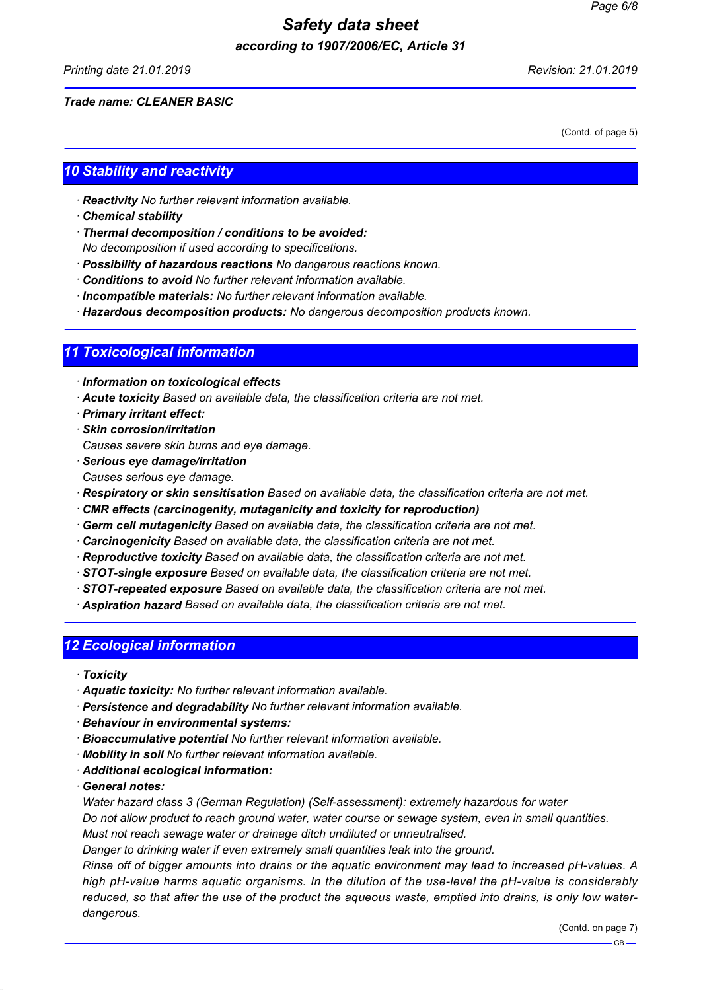Printing date 21.01.2019 Revision: 21.01.2019

#### Trade name: CLEANER BASIC

(Contd. of page 5)

## 10 Stability and reactivity

- · Reactivity No further relevant information available.
- · Chemical stability
- · Thermal decomposition / conditions to be avoided:
- No decomposition if used according to specifications.
- · Possibility of hazardous reactions No dangerous reactions known.
- · Conditions to avoid No further relevant information available.
- · Incompatible materials: No further relevant information available.
- · Hazardous decomposition products: No dangerous decomposition products known.

## 11 Toxicological information

- · Information on toxicological effects
- · Acute toxicity Based on available data, the classification criteria are not met.
- · Primary irritant effect:
- · Skin corrosion/irritation
- Causes severe skin burns and eye damage.
- · Serious eye damage/irritation Causes serious eye damage.
- · Respiratory or skin sensitisation Based on available data, the classification criteria are not met.
- · CMR effects (carcinogenity, mutagenicity and toxicity for reproduction)
- · Germ cell mutagenicity Based on available data, the classification criteria are not met.
- · Carcinogenicity Based on available data, the classification criteria are not met.
- · Reproductive toxicity Based on available data, the classification criteria are not met.
- · STOT-single exposure Based on available data, the classification criteria are not met.
- · STOT-repeated exposure Based on available data, the classification criteria are not met.
- · Aspiration hazard Based on available data, the classification criteria are not met.

## 12 Ecological information

- · Toxicity
- · Aquatic toxicity: No further relevant information available.
- · Persistence and degradability No further relevant information available.
- · Behaviour in environmental systems:
- · Bioaccumulative potential No further relevant information available.
- · Mobility in soil No further relevant information available.
- · Additional ecological information:
- · General notes:

Water hazard class 3 (German Regulation) (Self-assessment): extremely hazardous for water

Do not allow product to reach ground water, water course or sewage system, even in small quantities. Must not reach sewage water or drainage ditch undiluted or unneutralised.

Danger to drinking water if even extremely small quantities leak into the ground.

Rinse off of bigger amounts into drains or the aquatic environment may lead to increased pH-values. A high pH-value harms aquatic organisms. In the dilution of the use-level the pH-value is considerably reduced, so that after the use of the product the aqueous waste, emptied into drains, is only low waterdangerous.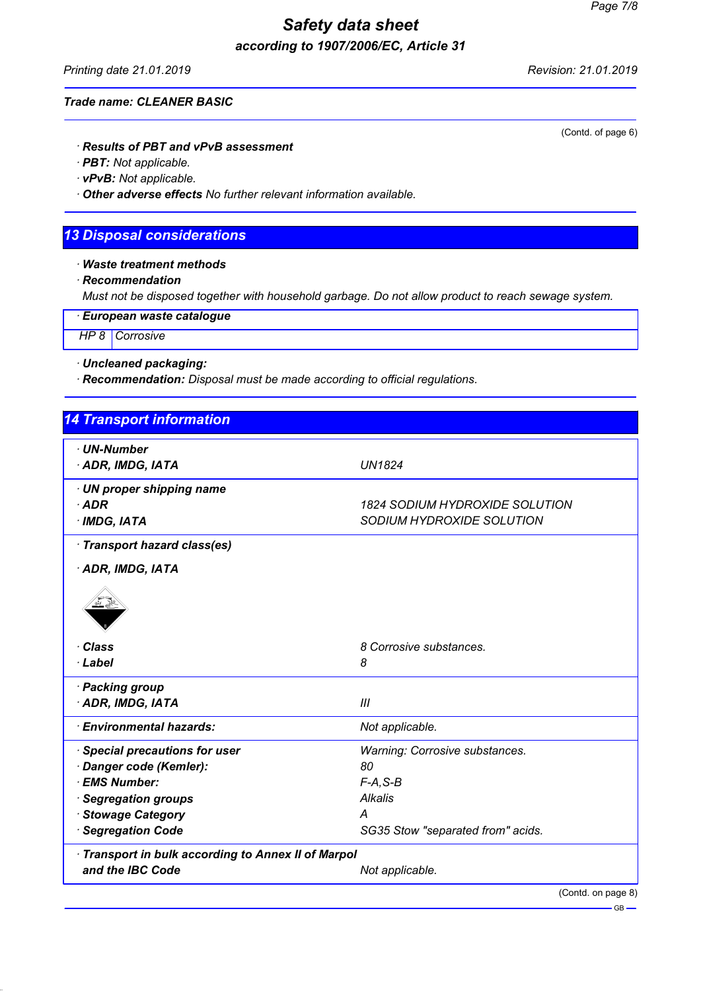Printing date 21.01.2019 **Printing date 21.01.2019** 

(Contd. of page 6)

#### Trade name: CLEANER BASIC

· Results of PBT and vPvB assessment

· PBT: Not applicable.

· vPvB: Not applicable.

· Other adverse effects No further relevant information available.

## 13 Disposal considerations

· Waste treatment methods

· Recommendation

Must not be disposed together with household garbage. Do not allow product to reach sewage system.

· European waste catalogue

HP 8 Corrosive

· Uncleaned packaging:

· Recommendation: Disposal must be made according to official regulations.

| <b>14 Transport information</b>                   |                                       |
|---------------------------------------------------|---------------------------------------|
| · UN-Number                                       |                                       |
| · ADR, IMDG, IATA                                 | <b>UN1824</b>                         |
| · UN proper shipping name                         |                                       |
| $·$ ADR                                           | <b>1824 SODIUM HYDROXIDE SOLUTION</b> |
| · IMDG, IATA                                      | SODIUM HYDROXIDE SOLUTION             |
| Transport hazard class(es)                        |                                       |
| · ADR, IMDG, IATA                                 |                                       |
|                                                   |                                       |
| · Class                                           | 8 Corrosive substances.               |
| · Label                                           | 8                                     |
| · Packing group                                   |                                       |
| · ADR, IMDG, IATA                                 | III                                   |
| <b>Environmental hazards:</b>                     | Not applicable.                       |
| · Special precautions for user                    | Warning: Corrosive substances.        |
| Danger code (Kemler):                             | 80                                    |
| · EMS Number:                                     | $F-A, S-B$                            |
| · Segregation groups                              | <b>Alkalis</b>                        |
| · Stowage Category                                | A                                     |
| · Segregation Code                                | SG35 Stow "separated from" acids.     |
| Transport in bulk according to Annex II of Marpol |                                       |
| and the IBC Code                                  | Not applicable.                       |
|                                                   | (Contd. on page 8)                    |